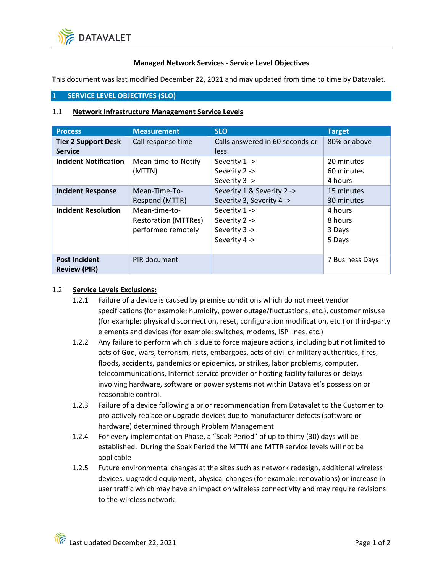

## **Managed Network Services - Service Level Objectives**

This document was last modified December 22, 2021 and may updated from time to time by Datavalet.

## 1 **SERVICE LEVEL OBJECTIVES (SLO)**

## 1.1 **Network Infrastructure Management Service Levels**

| <b>Process</b>                               | <b>Measurement</b>                                                 | <b>SLO</b>                                                       | <b>Target</b>                          |
|----------------------------------------------|--------------------------------------------------------------------|------------------------------------------------------------------|----------------------------------------|
| <b>Tier 2 Support Desk</b><br><b>Service</b> | Call response time                                                 | Calls answered in 60 seconds or<br>less                          | 80% or above                           |
| <b>Incident Notification</b>                 | Mean-time-to-Notify<br>(MTTN)                                      | Severity 1 -><br>Severity 2 -><br>Severity 3 ->                  | 20 minutes<br>60 minutes<br>4 hours    |
| <b>Incident Response</b>                     | Mean-Time-To-<br>Respond (MTTR)                                    | Severity 1 & Severity 2 -><br>Severity 3, Severity 4 ->          | 15 minutes<br>30 minutes               |
| <b>Incident Resolution</b>                   | Mean-time-to-<br><b>Restoration (MTTRes)</b><br>performed remotely | Severity 1 -><br>Severity 2 -><br>Severity 3 -><br>Severity 4 -> | 4 hours<br>8 hours<br>3 Days<br>5 Days |
| <b>Post Incident</b><br><b>Review (PIR)</b>  | PIR document                                                       |                                                                  | 7 Business Days                        |

## 1.2 **Service Levels Exclusions:**

- 1.2.1 Failure of a device is caused by premise conditions which do not meet vendor specifications (for example: humidify, power outage/fluctuations, etc.), customer misuse (for example: physical disconnection, reset, configuration modification, etc.) or third-party elements and devices (for example: switches, modems, ISP lines, etc.)
- 1.2.2 Any failure to perform which is due to force majeure actions, including but not limited to acts of God, wars, terrorism, riots, embargoes, acts of civil or military authorities, fires, floods, accidents, pandemics or epidemics, or strikes, labor problems, computer, telecommunications, Internet service provider or hosting facility failures or delays involving hardware, software or power systems not within Datavalet's possession or reasonable control.
- 1.2.3 Failure of a device following a prior recommendation from Datavalet to the Customer to pro-actively replace or upgrade devices due to manufacturer defects (software or hardware) determined through Problem Management
- 1.2.4 For every implementation Phase, a "Soak Period" of up to thirty (30) days will be established. During the Soak Period the MTTN and MTTR service levels will not be applicable
- 1.2.5 Future environmental changes at the sites such as network redesign, additional wireless devices, upgraded equipment, physical changes (for example: renovations) or increase in user traffic which may have an impact on wireless connectivity and may require revisions to the wireless network